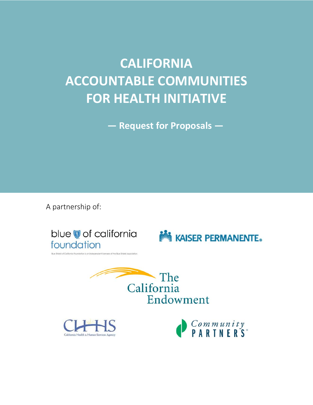# **CALIFORNIA ACCOUNTABLE COMMUNITIES FOR HEALTH INITIATIVE**

**— Request for Proposals —**

A partnership of:

blue of california foundation

**MAISER PERMANENTE.** 





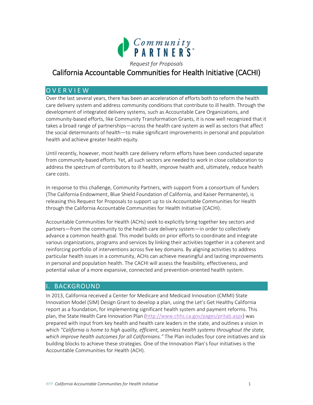

# California Accountable Communities for Health Initiative (CACHI)

# O V E R V I E W

Over the last several years, there has been an acceleration of efforts both to reform the health care delivery system and address community conditions that contribute to ill health. Through the development of integrated delivery systems, such as Accountable Care Organizations, and community-based efforts, like Community Transformation Grants, it is now well recognized that it takes a broad range of partnerships—across the health care system as well as sectors that affect the social determinants of health—to make significant improvements in personal and population health and achieve greater health equity.

Until recently, however, most health care delivery reform efforts have been conducted separate from community-based efforts. Yet, all such sectors are needed to work in close collaboration to address the spectrum of contributors to ill health, improve health and, ultimately, reduce health care costs.

In response to this challenge, Community Partners, with support from a consortium of funders (The California Endowment, Blue Shield Foundation of California, and Kaiser Permanente), is releasing this Request for Proposals to support up to six Accountable Communities for Health through the California Accountable Communities for Health Initiative (CACHI).

Accountable Communities for Health (ACHs) seek to explicitly bring together key sectors and partners—from the community to the health care delivery system—in order to collectively advance a common health goal. This model builds on prior efforts to coordinate and integrate various organizations, programs and services by linking their activities together in a coherent and reinforcing portfolio of interventions across five key domains. By aligning activities to address particular health issues in a community, ACHs can achieve meaningful and lasting improvements in personal and population health. The CACHI will assess the feasibility, effectiveness, and potential value of a more expansive, connected and prevention-oriented health system.

# **BACKGROUND**

In 2013, California received a Center for Medicare and Medicaid Innovation (CMMI) State Innovation Model (SIM) Design Grant to develop a plan, using the Let's Get Healthy California report as a foundation, for implementing significant health system and payment reforms. This plan, the State Health Care Innovation Plan [\(http://www.chhs.ca.gov/pages/pritab.aspx\)](http://www.chhs.ca.gov/pages/pritab.aspx) was prepared with input from key health and health care leaders in the state, and outlines a vision in which *"California is home to high quality, efficient, seamless health systems throughout the state, which improve health outcomes for all Californians."* The Plan includes four core initiatives and six building blocks to achieve these strategies. One of the Innovation Plan's four initiatives is the Accountable Communities for Health (ACH).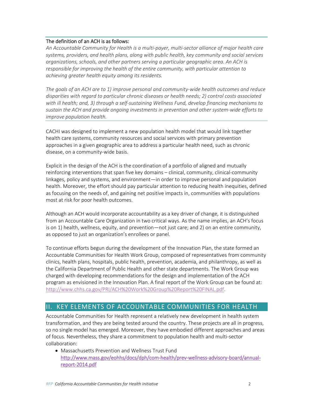#### The definition of an ACH is as follows:

*An Accountable Community for Health is a multi-payer, multi-sector alliance of major health care systems, providers, and health plans, along with public health, key community and social services organizations, schools, and other partners serving a particular geographic area. An ACH is responsible for improving the health of the entire community, with particular attention to achieving greater health equity among its residents.*

*The goals of an ACH are to 1) improve personal and community-wide health outcomes and reduce disparities with regard to particular chronic diseases or health needs; 2) control costs associated with ill health; and, 3) through a self-sustaining Wellness Fund, develop financing mechanisms to sustain the ACH and provide ongoing investments in prevention and other system-wide efforts to improve population health.* 

CACHI was designed to implement a new population health model that would link together health care systems, community resources and social services with primary prevention approaches in a given geographic area to address a particular health need, such as chronic disease, on a community-wide basis.

Explicit in the design of the ACH is the coordination of a portfolio of aligned and mutually reinforcing interventions that span five key domains – clinical, community, clinical-community linkages, policy and systems, and environment—in order to improve personal and population health. Moreover, the effort should pay particular attention to reducing health inequities, defined as focusing on the needs of, and gaining net positive impacts in, communities with populations most at risk for poor health outcomes.

Although an ACH would incorporate accountability as a key driver of change, it is distinguished from an Accountable Care Organization in two critical ways. As the name implies, an ACH's focus is on 1) health, wellness, equity, and prevention—not just care; and 2) on an entire community, as opposed to just an organization's enrollees or panel.

To continue efforts begun during the development of the Innovation Plan, the state formed an Accountable Communities for Health Work Group, composed of representatives from community clinics, health plans, hospitals, public health, prevention, academia, and philanthropy, as well as the California Department of Public Health and other state departments. The Work Group was charged with developing recommendations for the design and implementation of the ACH program as envisioned in the Innovation Plan. A final report of the Work Group can be found at: [http://www.chhs.ca.gov/PRI/ACH%20Work%20Group%20Report%20FINAL.pdf.](http://www.chhs.ca.gov/PRI/ACH%20Work%20Group%20Report%20FINAL.pdf)

# II. KEY ELEMENTS OF ACCOUNTABLE COMMUNITIES FOR HEALTH

Accountable Communities for Health represent a relatively new development in health system transformation, and they are being tested around the country. These projects are all in progress, so no single model has emerged. Moreover, they have embodied different approaches and areas of focus. Nevertheless, they share a commitment to population health and multi-sector collaboration:

 Massachusetts Prevention and Wellness Trust Fund [http://www.mass.gov/eohhs/docs/dph/com-health/prev-wellness-advisory-board/annual](http://www.mass.gov/eohhs/docs/dph/com-health/prev-wellness-advisory-board/annual-report-2014.pdf)[report-2014.pdf](http://www.mass.gov/eohhs/docs/dph/com-health/prev-wellness-advisory-board/annual-report-2014.pdf)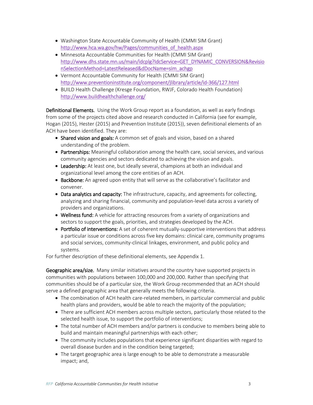- Washington State Accountable Community of Health (CMMI SIM Grant) [http://www.hca.wa.gov/hw/Pages/communities\\_of\\_health.aspx](http://www.hca.wa.gov/hw/Pages/communities_of_health.aspx)
- Minnesota Accountable Communities for Health (CMMI SIM Grant) [http://www.dhs.state.mn.us/main/idcplg?IdcService=GET\\_DYNAMIC\\_CONVERSION&Revisio](http://www.dhs.state.mn.us/main/idcplg?IdcService=GET_DYNAMIC_CONVERSION&RevisionSelectionMethod=LatestReleased&dDocName=sim_achgp) [nSelectionMethod=LatestReleased&dDocName=sim\\_achgp](http://www.dhs.state.mn.us/main/idcplg?IdcService=GET_DYNAMIC_CONVERSION&RevisionSelectionMethod=LatestReleased&dDocName=sim_achgp)
- Vermont Accountable Community for Health (CMMI SIM Grant) <http://www.preventioninstitute.org/component/jlibrary/article/id-366/127.html>
- BUILD Health Challenge (Kresge Foundation, RWJF, Colorado Health Foundation) <http://www.buildhealthchallenge.org/>

Definitional Elements. Using the Work Group report as a foundation, as well as early findings from some of the projects cited above and research conducted in California (see for example, Hogan (2015), Hester (2015) and Prevention Institute (2015)), seven definitional elements of an ACH have been identified. They are:

- Shared vision and goals: A common set of goals and vision, based on a shared understanding of the problem.
- Partnerships: Meaningful collaboration among the health care, social services, and various community agencies and sectors dedicated to achieving the vision and goals.
- **Leadership:** At least one, but ideally several, champions at both an individual and organizational level among the core entities of an ACH.
- Backbone: An agreed upon entity that will serve as the collaborative's facilitator and convener.
- Data analytics and capacity: The infrastructure, capacity, and agreements for collecting, analyzing and sharing financial, community and population-level data across a variety of providers and organizations.
- Wellness fund: A vehicle for attracting resources from a variety of organizations and sectors to support the goals, priorities, and strategies developed by the ACH.
- Portfolio of interventions: A set of coherent mutually-supportive interventions that address a particular issue or conditions across five key domains: clinical care, community programs and social services, community-clinical linkages, environment, and public policy and systems.

For further description of these definitional elements, see Appendix 1.

Geographic area/size. Many similar initiatives around the country have supported projects in communities with populations between 100,000 and 200,000. Rather than specifying that communities should be of a particular size, the Work Group recommended that an ACH should serve a defined geographic area that generally meets the following criteria.

- The combination of ACH health care-related members, in particular commercial and public health plans and providers, would be able to reach the majority of the population;
- There are sufficient ACH members across multiple sectors, particularly those related to the selected health issue, to support the portfolio of interventions;
- The total number of ACH members and/or partners is conducive to members being able to build and maintain meaningful partnerships with each other;
- The community includes populations that experience significant disparities with regard to overall disease burden and in the condition being targeted;
- The target geographic area is large enough to be able to demonstrate a measurable impact; and,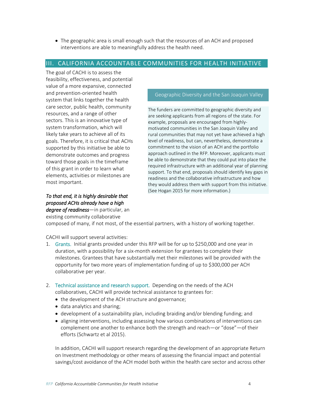The geographic area is small enough such that the resources of an ACH and proposed interventions are able to meaningfully address the health need.

## III. CALIFORNIA ACCOUNTABLE COMMUNITIES FOR HEALTH INITIATIVE

The goal of CACHI is to assess the feasibility, effectiveness, and potential value of a more expansive, connected and prevention-oriented health system that links together the health care sector, public health, community resources, and a range of other sectors. This is an innovative type of system transformation, which will likely take years to achieve all of its goals. Therefore, it is critical that ACHs supported by this initiative be able to demonstrate outcomes and progress toward those goals in the timeframe of this grant in order to learn what elements, activities or milestones are most important.

## *To that end, it is highly desirable that proposed ACHs already have a high degree of readiness*—in particular, an

existing community collaborative

#### Geographic Diversity and the San Joaquin Valley

The funders are committed to geographic diversity and are seeking applicants from all regions of the state. For example, proposals are encouraged from highlymotivated communities in the San Joaquin Valley and rural communities that may not yet have achieved a high level of readiness, but can, nevertheless, demonstrate a commitment to the vision of an ACH and the portfolio approach outlined in the RFP. Moreover, applicants must be able to demonstrate that they could put into place the required infrastructure with an additional year of planning support. To that end, proposals should identify key gaps in readiness and the collaborative infrastructure and how they would address them with support from this initiative. (See Hogan 2015 for more information.)

composed of many, if not most, of the essential partners, with a history of working together.

CACHI will support several activities:

- 1. Grants. Initial grants provided under this RFP will be for up to \$250,000 and one year in duration, with a possibility for a six-month extension for grantees to complete their milestones. Grantees that have substantially met their milestones will be provided with the opportunity for two more years of implementation funding of up to \$300,000 per ACH collaborative per year.
- 2. Technical assistance and research support. Depending on the needs of the ACH collaboratives, CACHI will provide technical assistance to grantees for:
	- the development of the ACH structure and governance;
	- data analytics and sharing;
	- development of a sustainability plan, including braiding and/or blending funding; and
	- aligning interventions, including assessing how various combinations of interventions can complement one another to enhance both the strength and reach—or "dose"—of their efforts (Schwartz et al 2015).

In addition, CACHI will support research regarding the development of an appropriate Return on Investment methodology or other means of assessing the financial impact and potential savings/cost avoidance of the ACH model both within the health care sector and across other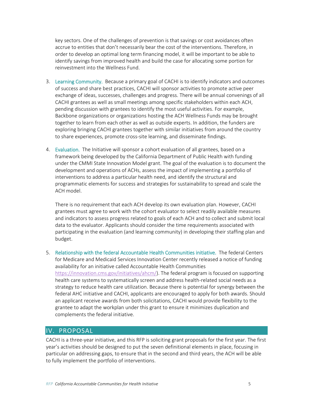key sectors. One of the challenges of prevention is that savings or cost avoidances often accrue to entities that don't necessarily bear the cost of the interventions. Therefore, in order to develop an optimal long term financing model, it will be important to be able to identify savings from improved health and build the case for allocating some portion for reinvestment into the Wellness Fund.

- 3. Learning Community. Because a primary goal of CACHI is to identify indicators and outcomes of success and share best practices, CACHI will sponsor activities to promote active peer exchange of ideas, successes, challenges and progress. There will be annual convenings of all CACHI grantees as well as small meetings among specific stakeholders within each ACH, pending discussion with grantees to identify the most useful activities. For example, Backbone organizations or organizations hosting the ACH Wellness Funds may be brought together to learn from each other as well as outside experts. In addition, the funders are exploring bringing CACHI grantees together with similar initiatives from around the country to share experiences, promote cross-site learning, and disseminate findings.
- 4. Evaluation. The Initiative will sponsor a cohort evaluation of all grantees, based on a framework being developed by the California Department of Public Health with funding under the CMMI State Innovation Model grant. The goal of the evaluation is to document the development and operations of ACHs, assess the impact of implementing a portfolio of interventions to address a particular health need, and identify the structural and programmatic elements for success and strategies for sustainability to spread and scale the ACH model.

There is no requirement that each ACH develop its own evaluation plan. However, CACHI grantees must agree to work with the cohort evaluator to select readily available measures and indicators to assess progress related to goals of each ACH and to collect and submit local data to the evaluator. Applicants should consider the time requirements associated with participating in the evaluation (and learning community) in developing their staffing plan and budget.

5. Relationship with the federal Accountable Health Communities initiative. The federal Centers for Medicare and Medicaid Services Innovation Center recently released a notice of funding availability for an initiative called Accountable Health Communities [https://innovation.cms.gov/initiatives/ahcm/\)](https://innovation.cms.gov/initiatives/ahcm/). The federal program is focused on supporting health care systems to systematically screen and address health-related social needs as a strategy to reduce health care utilization. Because there is potential for synergy between the federal AHC initiative and CACHI, applicants are encouraged to apply for both awards. Should an applicant receive awards from both solicitations, CACHI would provide flexibility to the grantee to adapt the workplan under this grant to ensure it minimizes duplication and complements the federal initiative.

# IV. PROPOSAL

CACHI is a three-year initiative, and this RFP is soliciting grant proposals for the first year. The first year's activities should be designed to put the seven definitional elements in place, focusing in particular on addressing gaps, to ensure that in the second and third years, the ACH will be able to fully implement the portfolio of interventions.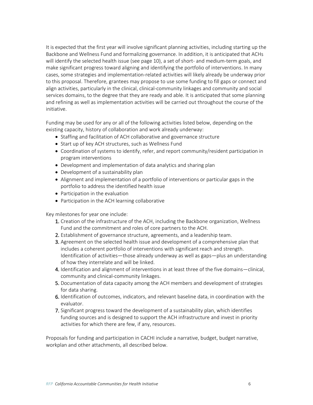It is expected that the first year will involve significant planning activities, including starting up the Backbone and Wellness Fund and formalizing governance. In addition, it is anticipated that ACHs will identify the selected health issue (see page 10), a set of short- and medium-term goals, and make significant progress toward aligning and identifying the portfolio of interventions. In many cases, some strategies and implementation-related activities will likely already be underway prior to this proposal. Therefore, grantees may propose to use some funding to fill gaps or connect and align activities, particularly in the clinical, clinical-community linkages and community and social services domains, to the degree that they are ready and able. It is anticipated that some planning and refining as well as implementation activities will be carried out throughout the course of the initiative.

Funding may be used for any or all of the following activities listed below, depending on the existing capacity, history of collaboration and work already underway:

- Staffing and facilitation of ACH collaborative and governance structure
- Start up of key ACH structures, such as Wellness Fund
- Coordination of systems to identify, refer, and report community/resident participation in program interventions
- Development and implementation of data analytics and sharing plan
- Development of a sustainability plan
- Alignment and implementation of a portfolio of interventions or particular gaps in the portfolio to address the identified health issue
- Participation in the evaluation
- Participation in the ACH learning collaborative

Key milestones for year one include:

- 1. Creation of the infrastructure of the ACH, including the Backbone organization, Wellness Fund and the commitment and roles of core partners to the ACH.
- 2. Establishment of governance structure, agreements, and a leadership team.
- 3. Agreement on the selected health issue and development of a comprehensive plan that includes a coherent portfolio of interventions with significant reach and strength. Identification of activities—those already underway as well as gaps—plus an understanding of how they interrelate and will be linked.
- 4. Identification and alignment of interventions in at least three of the five domains—clinical, community and clinical-community linkages.
- 5. Documentation of data capacity among the ACH members and development of strategies for data sharing.
- 6. Identification of outcomes, indicators, and relevant baseline data, in coordination with the evaluator.
- 7. Significant progress toward the development of a sustainability plan, which identifies funding sources and is designed to support the ACH infrastructure and invest in priority activities for which there are few, if any, resources.

Proposals for funding and participation in CACHI include a narrative, budget, budget narrative, workplan and other attachments, all described below.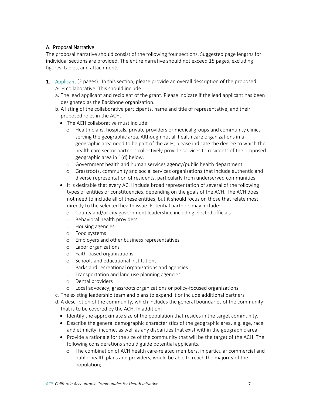## A. Proposal Narrative

The proposal narrative should consist of the following four sections. Suggested page lengths for individual sections are provided. The entire narrative should not exceed 15 pages, excluding figures, tables, and attachments.

- 1. Applicant (2 pages). In this section, please provide an overall description of the proposed ACH collaborative. This should include:
	- a. The lead applicant and recipient of the grant. Please indicate if the lead applicant has been designated as the Backbone organization.
	- b. A listing of the collaborative participants, name and title of representative, and their proposed roles in the ACH.
		- The ACH collaborative must include:
			- o Health plans, hospitals, private providers or medical groups and community clinics serving the geographic area. Although not all health care organizations in a geographic area need to be part of the ACH, please indicate the degree to which the health care sector partners collectively provide services to residents of the proposed geographic area in 1(d) below.
			- o Government health and human services agency/public health department
			- o Grassroots, community and social services organizations that include authentic and diverse representation of residents, particularly from underserved communities
		- It is desirable that every ACH include broad representation of several of the following types of entities or constituencies, depending on the goals of the ACH. The ACH does not need to include all of these entities, but it should focus on those that relate most directly to the selected health issue. Potential partners may include:
			- o County and/or city government leadership, including elected officials
			- o Behavioral health providers
			- o Housing agencies
			- o Food systems
			- o Employers and other business representatives
			- o Labor organizations
			- o Faith-based organizations
			- o Schools and educational institutions
			- o Parks and recreational organizations and agencies
			- o Transportation and land use planning agencies
			- o Dental providers
			- o Local advocacy, grassroots organizations or policy-focused organizations
	- c. The existing leadership team and plans to expand it or include additional partners
	- d. A description of the community, which includes the general boundaries of the community that is to be covered by the ACH. In addition:
		- Identify the approximate size of the population that resides in the target community.
		- Describe the general demographic characteristics of the geographic area, e.g. age, race and ethnicity, income, as well as any disparities that exist within the geographic area.
		- Provide a rationale for the size of the community that will be the target of the ACH. The following considerations should guide potential applicants.
			- o The combination of ACH health care-related members, in particular commercial and public health plans and providers, would be able to reach the majority of the population;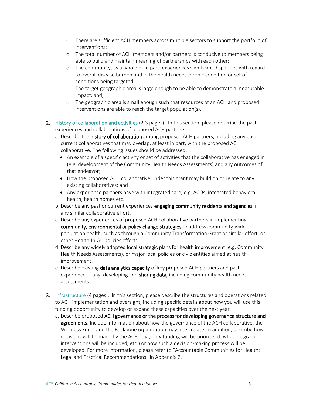- o There are sufficient ACH members across multiple sectors to support the portfolio of interventions;
- o The total number of ACH members and/or partners is conducive to members being able to build and maintain meaningful partnerships with each other;
- o The community, as a whole or in part, experiences significant disparities with regard to overall disease burden and in the health need, chronic condition or set of conditions being targeted;
- o The target geographic area is large enough to be able to demonstrate a measurable impact; and,
- o The geographic area is small enough such that resources of an ACH and proposed interventions are able to reach the target population(s).
- 2. History of collaboration and activities (2-3 pages). In this section, please describe the past experiences and collaborations of proposed ACH partners.
	- a. Describe the **history of collaboration** among proposed ACH partners, including any past or current collaboratives that may overlap, at least in part, with the proposed ACH collaborative. The following issues should be addressed:
		- An example of a specific activity or set of activities that the collaborative has engaged in (e.g. development of the Community Health Needs Assessments) and any outcomes of that endeavor;
		- How the proposed ACH collaborative under this grant may build on or relate to any existing collaboratives; and
		- Any experience partners have with integrated care, e.g. ACOs, integrated behavioral health, health homes etc.
	- b. Describe any past or current experiences engaging community residents and agencies in any similar collaborative effort.
	- c. Describe any experiences of proposed ACH collaborative partners in implementing community, environmental or policy change strategies to address community-wide population health, such as through a Community Transformation Grant or similar effort, or other Health-In-All-policies efforts.
	- d. Describe any widely adopted local strategic plans for health improvement (e.g. Community Health Needs Assessments), or major local policies or civic entities aimed at health improvement.
	- e. Describe existing **data analytics capacity** of key proposed ACH partners and past experience, if any, developing and **sharing data,** including community health needs assessments.
- 3. Infrastructure (4 pages). In this section, please describe the structures and operations related to ACH implementation and oversight, including specific details about how you will use this funding opportunity to develop or expand these capacities over the next year.
	- a. Describe proposed ACH governance or the process for developing governance structure and **agreements**. Include information about how the governance of the ACH collaborative, the Wellness Fund, and the Backbone organization may inter-relate. In addition, describe how decisions will be made by the ACH (e.g., how funding will be prioritized, what program interventions will be included, etc.) or how such a decision-making process will be developed. For more information, please refer to "Accountable Communities for Health: Legal and Practical Recommendations" in Appendix 2.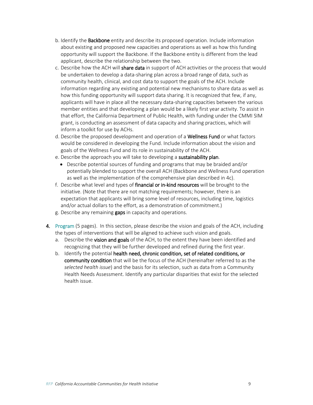- b. Identify the **Backbone** entity and describe its proposed operation. Include information about existing and proposed new capacities and operations as well as how this funding opportunity will support the Backbone. If the Backbone entity is different from the lead applicant, describe the relationship between the two.
- c. Describe how the ACH will share data in support of ACH activities or the process that would be undertaken to develop a data-sharing plan across a broad range of data, such as community health, clinical, and cost data to support the goals of the ACH. Include information regarding any existing and potential new mechanisms to share data as well as how this funding opportunity will support data sharing. It is recognized that few, if any, applicants will have in place all the necessary data-sharing capacities between the various member entities and that developing a plan would be a likely first year activity. To assist in that effort, the California Department of Public Health, with funding under the CMMI SIM grant, is conducting an assessment of data capacity and sharing practices, which will inform a toolkit for use by ACHs.
- d. Describe the proposed development and operation of a Wellness Fund or what factors would be considered in developing the Fund. Include information about the vision and goals of the Wellness Fund and its role in sustainability of the ACH.
- e. Describe the approach you will take to developing a sustainability plan.
	- Describe potential sources of funding and programs that may be braided and/or potentially blended to support the overall ACH (Backbone and Wellness Fund operation as well as the implementation of the comprehensive plan described in 4c).
- f. Describe what level and types of financial or in-kind resources will be brought to the initiative. (Note that there are not matching requirements; however, there is an expectation that applicants will bring some level of resources, including time, logistics and/or actual dollars to the effort, as a demonstration of commitment.)
- g. Describe any remaining **gaps** in capacity and operations.
- 4. Program (5 pages). In this section, please describe the vision and goals of the ACH, including the types of interventions that will be aligned to achieve such vision and goals.
	- a. Describe the vision and goals of the ACH, to the extent they have been identified and recognizing that they will be further developed and refined during the first year.
	- b. Identify the potential health need, chronic condition, set of related conditions, or community condition that will be the focus of the ACH (hereinafter referred to as the *selected health issue*) and the basis for its selection, such as data from a Community Health Needs Assessment. Identify any particular disparities that exist for the selected health issue.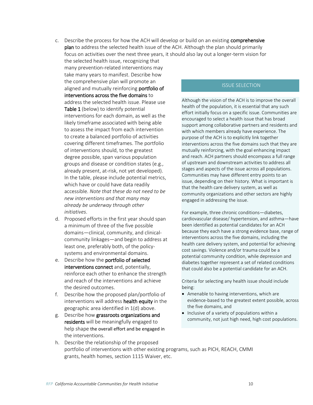- c. Describe the process for how the ACH will develop or build on an existing comprehensive plan to address the selected health issue of the ACH. Although the plan should primarily focus on activities over the next three years, it should also lay out a longer-term vision for
	- the selected health issue, recognizing that many prevention-related interventions may take many years to manifest. Describe how the comprehensive plan will promote an aligned and mutually reinforcing portfolio of interventions across the five domains to address the selected health issue. Please use Table 1 (below) to identify potential interventions for each domain, as well as the likely timeframe associated with being able to assess the impact from each intervention to create a balanced portfolio of activities covering different timeframes. The portfolio of interventions should, to the greatest degree possible, span various population groups and disease or condition states (e.g., already present, at-risk, not yet developed). In the table, please include potential metrics, which have or could have data readily accessible. *Note that these do not need to be new interventions and that many may already be underway through other initiatives*.
- d. Proposed efforts in the first year should span a minimum of three of the five possible domains—clinical, community, and clinicalcommunity linkages—and begin to address at least one, preferably both, of the policysystems and environmental domains.
- e. Describe how the portfolio of selected interventions connect and, potentially, reinforce each other to enhance the strength and reach of the interventions and achieve the desired outcomes.
- f. Describe how the proposed plan/portfolio of interventions will address health equity in the geographic area identified in 1(d) above.
- g. Describe how grassroots organizations and residents will be meaningfully engaged to help shape the overall effort and be engaged in the interventions.

#### ISSUE SELECTION

Although the vision of the ACH is to improve the overall health of the population, it is essential that any such effort initially focus on a specific issue. Communities are encouraged to select a health issue that has broad support among collaborative partners and residents and with which members already have experience. The purpose of the ACH is to explicitly link together interventions across the five domains such that they are mutually reinforcing, with the goal enhancing impact and reach. ACH partners should encompass a full range of upstream and downstream activities to address all stages and aspects of the issue across all populations. Communities may have different entry points to an issue, depending on their history. What is important is that the health care delivery system, as well as community organizations and other sectors are highly engaged in addressing the issue.

For example, three chronic conditions—diabetes, cardiovascular disease/ hypertension, and asthma—have been identified as potential candidates for an ACH because they each have a strong evidence base, range of interventions across the five domains, including the health care delivery system, and potential for achieving cost savings. Violence and/or trauma could be a potential community condition, while depression and diabetes together represent a set of related conditions that could also be a potential candidate for an ACH.

Criteria for selecting any health issue should include being:

- Amenable to having interventions, which are evidence-based to the greatest extent possible, across the five domains, and
- Inclusive of a variety of populations within a community, not just high need, high cost populations.
- h. Describe the relationship of the proposed portfolio of interventions with other existing programs, such as PICH, REACH, CMMI grants, health homes, section 1115 Waiver, etc.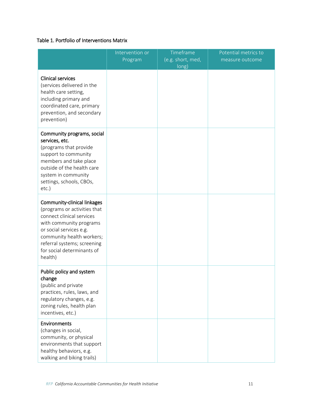# Table 1. Portfolio of Interventions Matrix

|                                                                                                                                                                                                                                                     | Intervention or<br>Program | Timeframe<br>(e.g. short, med,<br>long) | Potential metrics to<br>measure outcome |
|-----------------------------------------------------------------------------------------------------------------------------------------------------------------------------------------------------------------------------------------------------|----------------------------|-----------------------------------------|-----------------------------------------|
| <b>Clinical services</b><br>(services delivered in the<br>health care setting,<br>including primary and<br>coordinated care, primary<br>prevention, and secondary<br>prevention)                                                                    |                            |                                         |                                         |
| Community programs, social<br>services, etc.<br>(programs that provide<br>support to community<br>members and take place<br>outside of the health care<br>system in community<br>settings, schools, CBOs,<br>etc.)                                  |                            |                                         |                                         |
| Community-clinical linkages<br>(programs or activities that<br>connect clinical services<br>with community programs<br>or social services e.g.<br>community health workers;<br>referral systems; screening<br>for social determinants of<br>health) |                            |                                         |                                         |
| Public policy and system<br>change<br>(public and private<br>practices, rules, laws, and<br>regulatory changes, e.g.<br>zoning rules, health plan<br>incentives, etc.)                                                                              |                            |                                         |                                         |
| Environments<br>(changes in social,<br>community, or physical<br>environments that support<br>healthy behaviors, e.g.<br>walking and biking trails)                                                                                                 |                            |                                         |                                         |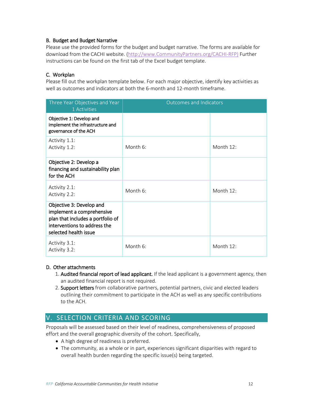## B. Budget and Budget Narrative

Please use the provided forms for the budget and budget narrative. The forms are available for download from the CACHI website. [\(http://www.CommunityPartners.org/CACHI-RFP\)](http://www.communitypartners.org/cachi-rfp) Further instructions can be found on the first tab of the Excel budget template.

## C. Workplan

Please fill out the workplan template below. For each major objective, identify key activities as well as outcomes and indicators at both the 6-month and 12-month timeframe.

| Three Year Objectives and Year<br>1 Activities                                                                                                      | <b>Outcomes and Indicators</b> |           |
|-----------------------------------------------------------------------------------------------------------------------------------------------------|--------------------------------|-----------|
| Objective 1: Develop and<br>implement the infrastructure and<br>governance of the ACH                                                               |                                |           |
| Activity 1.1:<br>Activity 1.2:                                                                                                                      | Month 6:                       | Month 12: |
| Objective 2: Develop a<br>financing and sustainability plan<br>for the ACH                                                                          |                                |           |
| Activity 2.1:<br>Activity 2.2:                                                                                                                      | Month 6:                       | Month 12: |
| Objective 3: Develop and<br>implement a comprehensive<br>plan that includes a portfolio of<br>interventions to address the<br>selected health issue |                                |           |
| Activity 3.1:<br>Activity 3.2:                                                                                                                      | Month 6:                       | Month 12: |

#### D. Other attachments

- 1. Audited financial report of lead applicant. If the lead applicant is a government agency, then an audited financial report is not required.
- 2. Support letters from collaborative partners, potential partners, civic and elected leaders outlining their commitment to participate in the ACH as well as any specific contributions to the ACH.

# V. SELECTION CRITERIA AND SCORING

Proposals will be assessed based on their level of readiness, comprehensiveness of proposed effort and the overall geographic diversity of the cohort. Specifically,

- A high degree of readiness is preferred.
- The community, as a whole or in part, experiences significant disparities with regard to overall health burden regarding the specific issue(s) being targeted.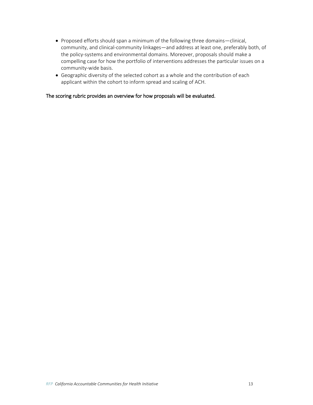- Proposed efforts should span a minimum of the following three domains—clinical, community, and clinical-community linkages—and address at least one, preferably both, of the policy-systems and environmental domains. Moreover, proposals should make a compelling case for how the portfolio of interventions addresses the particular issues on a community-wide basis.
- Geographic diversity of the selected cohort as a whole and the contribution of each applicant within the cohort to inform spread and scaling of ACH.

The scoring rubric provides an overview for how proposals will be evaluated.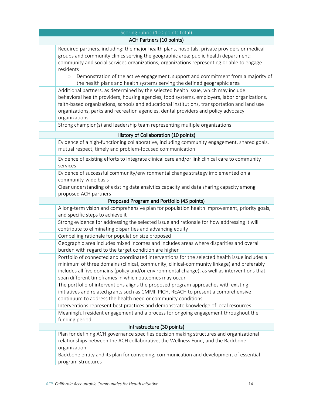| Scoring rubric (100 points total)    |                                                                                                                                                                                                                                                                                                                                                                                            |  |
|--------------------------------------|--------------------------------------------------------------------------------------------------------------------------------------------------------------------------------------------------------------------------------------------------------------------------------------------------------------------------------------------------------------------------------------------|--|
| <b>ACH Partners (10 points)</b>      |                                                                                                                                                                                                                                                                                                                                                                                            |  |
|                                      | Required partners, including: the major health plans, hospitals, private providers or medical<br>groups and community clinics serving the geographic area; public health department;<br>community and social services organizations; organizations representing or able to engage<br>residents                                                                                             |  |
|                                      | Demonstration of the active engagement, support and commitment from a majority of<br>$\circ$<br>the health plans and health systems serving the defined geographic area                                                                                                                                                                                                                    |  |
|                                      | Additional partners, as determined by the selected health issue, which may include:<br>behavioral health providers, housing agencies, food systems, employers, labor organizations,<br>faith-based organizations, schools and educational institutions, transportation and land use<br>organizations, parks and recreation agencies, dental providers and policy advocacy<br>organizations |  |
|                                      | Strong champion(s) and leadership team representing multiple organizations                                                                                                                                                                                                                                                                                                                 |  |
| History of Collaboration (10 points) |                                                                                                                                                                                                                                                                                                                                                                                            |  |
|                                      | Evidence of a high-functioning collaborative, including community engagement, shared goals,<br>mutual respect, timely and problem-focused communication                                                                                                                                                                                                                                    |  |
|                                      | Evidence of existing efforts to integrate clinical care and/or link clinical care to community<br>services                                                                                                                                                                                                                                                                                 |  |
|                                      | Evidence of successful community/environmental change strategy implemented on a<br>community-wide basis                                                                                                                                                                                                                                                                                    |  |
|                                      | Clear understanding of existing data analytics capacity and data sharing capacity among<br>proposed ACH partners                                                                                                                                                                                                                                                                           |  |
|                                      | Proposed Program and Portfolio (45 points)                                                                                                                                                                                                                                                                                                                                                 |  |
|                                      | A long-term vision and comprehensive plan for population health improvement, priority goals,<br>and specific steps to achieve it                                                                                                                                                                                                                                                           |  |
|                                      | Strong evidence for addressing the selected issue and rationale for how addressing it will<br>contribute to eliminating disparities and advancing equity                                                                                                                                                                                                                                   |  |
|                                      | Compelling rationale for population size proposed                                                                                                                                                                                                                                                                                                                                          |  |
|                                      | Geographic area includes mixed incomes and includes areas where disparities and overall<br>burden with regard to the target condition are higher                                                                                                                                                                                                                                           |  |
|                                      | Portfolio of connected and coordinated interventions for the selected health issue includes a<br>minimum of three domains (clinical, community, clinical-community linkage) and preferably<br>includes all five domains (policy and/or environmental change), as well as interventions that<br>span different timeframes in which outcomes may occur                                       |  |
|                                      | The portfolio of interventions aligns the proposed program approaches with existing<br>initiatives and related grants such as CMMI, PICH, REACH to present a comprehensive<br>continuum to address the health need or community conditions                                                                                                                                                 |  |
|                                      | Interventions represent best practices and demonstrate knowledge of local resources                                                                                                                                                                                                                                                                                                        |  |
|                                      | Meaningful resident engagement and a process for ongoing engagement throughout the<br>funding period                                                                                                                                                                                                                                                                                       |  |
| Infrastructure (30 points)           |                                                                                                                                                                                                                                                                                                                                                                                            |  |
|                                      | Plan for defining ACH governance specifies decision making structures and organizational<br>relationships between the ACH collaborative, the Wellness Fund, and the Backbone<br>organization                                                                                                                                                                                               |  |
|                                      | Backbone entity and its plan for convening, communication and development of essential<br>program structures                                                                                                                                                                                                                                                                               |  |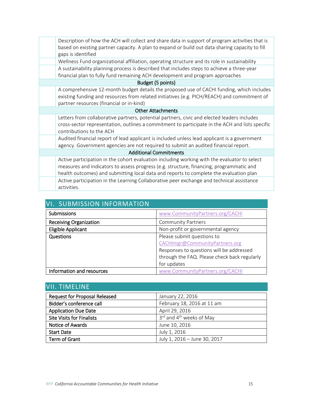|                               | Description of how the ACH will collect and share data in support of program activities that is<br>based on existing partner capacity. A plan to expand or build out data sharing capacity to fill<br>gaps is identified                                                          |  |
|-------------------------------|-----------------------------------------------------------------------------------------------------------------------------------------------------------------------------------------------------------------------------------------------------------------------------------|--|
|                               | Wellness Fund organizational affiliation, operating structure and its role in sustainability                                                                                                                                                                                      |  |
|                               | A sustainability planning process is described that includes steps to achieve a three-year<br>financial plan to fully fund remaining ACH development and program approaches                                                                                                       |  |
| Budget (5 points)             |                                                                                                                                                                                                                                                                                   |  |
|                               | A comprehensive 12-month budget details the proposed use of CACHI funding, which includes<br>existing funding and resources from related initiatives (e.g. PICH/REACH) and commitment of<br>partner resources (financial or in-kind)                                              |  |
| <b>Other Attachments</b>      |                                                                                                                                                                                                                                                                                   |  |
|                               | Letters from collaborative partners, potential partners, civic and elected leaders includes<br>cross-sector representation, outlines a commitment to participate in the ACH and lists specific<br>contributions to the ACH                                                        |  |
|                               | Audited financial report of lead applicant is included unless lead applicant is a government<br>agency. Government agencies are not required to submit an audited financial report.                                                                                               |  |
| <b>Additional Commitments</b> |                                                                                                                                                                                                                                                                                   |  |
|                               | Active participation in the cohort evaluation including working with the evaluator to select<br>measures and indicators to assess progress (e.g. structure, financing, programmatic and<br>health outcomes) and submitting local data and reports to complete the evaluation plan |  |
|                               | Active participation in the Learning Collaborative peer exchange and technical assistance<br>activities.                                                                                                                                                                          |  |
|                               |                                                                                                                                                                                                                                                                                   |  |

| VI. SUBIVIISSIUN INFURIVIATIUN |                                              |  |
|--------------------------------|----------------------------------------------|--|
| Submissions                    | www.CommunityPartners.org/CACHI              |  |
| <b>Receiving Organization</b>  | <b>Community Partners</b>                    |  |
| <b>Eligible Applicant</b>      | Non-profit or governmental agency            |  |
| Questions                      | Please submit questions to                   |  |
|                                | CACHImgr@CommunityPartners.org               |  |
|                                | Responses to questions will be addressed     |  |
|                                | through the FAQ. Please check back regularly |  |
|                                | for updates                                  |  |
| Information and resources      | www.CommunityPartners.org/CACHI              |  |

# VI. CURMICCION INFORMATION

| VII. TIMELINE                        |                                      |  |  |
|--------------------------------------|--------------------------------------|--|--|
| <b>Request for Proposal Released</b> | January 22, 2016                     |  |  |
| Bidder's conference call             | February 18, 2016 at 11 am           |  |  |
| <b>Application Due Date</b>          | April 29, 2016                       |  |  |
| <b>Site Visits for Finalists</b>     | 3rd and 4 <sup>th</sup> weeks of May |  |  |
| Notice of Awards                     | June 10, 2016                        |  |  |
| <b>Start Date</b>                    | July 1, 2016                         |  |  |
| Term of Grant                        | July 1, 2016 - June 30, 2017         |  |  |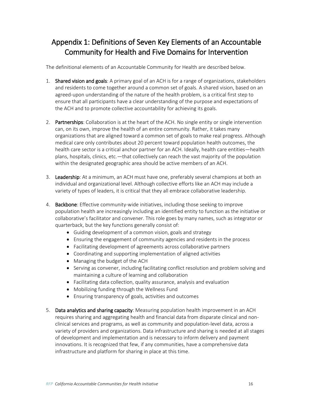# Appendix 1: Definitions of Seven Key Elements of an Accountable Community for Health and Five Domains for Intervention

The definitional elements of an Accountable Community for Health are described below.

- 1. Shared vision and goals: A primary goal of an ACH is for a range of organizations, stakeholders and residents to come together around a common set of goals. A shared vision, based on an agreed-upon understanding of the nature of the health problem, is a critical first step to ensure that all participants have a clear understanding of the purpose and expectations of the ACH and to promote collective accountability for achieving its goals.
- 2. Partnerships: Collaboration is at the heart of the ACH. No single entity or single intervention can, on its own, improve the health of an entire community. Rather, it takes many organizations that are aligned toward a common set of goals to make real progress. Although medical care only contributes about 20 percent toward population health outcomes, the health care sector is a critical anchor partner for an ACH. Ideally, health care entities—health plans, hospitals, clinics, etc.—that collectively can reach the vast majority of the population within the designated geographic area should be active members of an ACH.
- 3. Leadership: At a minimum, an ACH must have one, preferably several champions at both an individual and organizational level. Although collective efforts like an ACH may include a variety of types of leaders, it is critical that they all embrace collaborative leadership.
- 4. Backbone: Effective community-wide initiatives, including those seeking to improve population health are increasingly including an identified entity to function as the initiative or collaborative's facilitator and convener. This role goes by many names, such as integrator or quarterback, but the key functions generally consist of:
	- Guiding development of a common vision, goals and strategy
	- Ensuring the engagement of community agencies and residents in the process
	- Facilitating development of agreements across collaborative partners
	- Coordinating and supporting implementation of aligned activities
	- Managing the budget of the ACH
	- Serving as convener, including facilitating conflict resolution and problem solving and maintaining a culture of learning and collaboration
	- Facilitating data collection, quality assurance, analysis and evaluation
	- Mobilizing funding through the Wellness Fund
	- Ensuring transparency of goals, activities and outcomes
- 5. Data analytics and sharing capacity: Measuring population health improvement in an ACH requires sharing and aggregating health and financial data from disparate clinical and nonclinical services and programs, as well as community and population-level data, across a variety of providers and organizations. Data infrastructure and sharing is needed at all stages of development and implementation and is necessary to inform delivery and payment innovations. It is recognized that few, if any communities, have a comprehensive data infrastructure and platform for sharing in place at this time.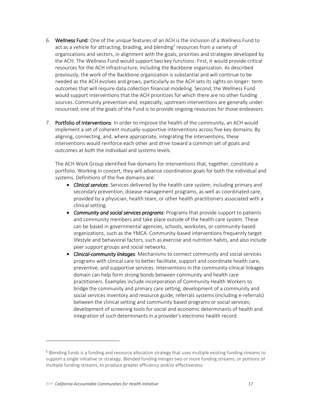- 6. Wellness Fund: One of the unique features of an ACH is the inclusion of a Wellness Fund to act as a vehicle for attracting, braiding, and blending<sup>1</sup> resources from a variety of organizations and sectors, in alignment with the goals, priorities and strategies developed by the ACH. The Wellness Fund would support two key functions: First, it would provide critical resources for the ACH infrastructure, including the Backbone organization. As described previously, the work of the Backbone organization is substantial and will continue to be needed as the ACH evolves and grows, particularly as the ACH sets its sights on longer- term outcomes that will require data collection financial modeling. Second, the Wellness Fund would support interventions that the ACH prioritizes for which there are no other funding sources. Community prevention and, especially, upstream interventions are generally underresourced; one of the goals of the Fund is to provide ongoing resources for those endeavors.
- 7. Portfolio of Interventions: In order to improve the health of the community, an ACH would implement a set of coherent mutually-supportive interventions across five key domains. By aligning, connecting, and, where appropriate, integrating the interventions, these interventions would reinforce each other and drive toward a common set of goals and outcomes at both the *individual* and *systems* levels.

The ACH Work Group identified five domains for interventions that, together, constitute a portfolio. Working in concert, they will advance coordination goals for both the individual and systems. Definitions of the five domains are:

- *Clinical services*: Services delivered by the health care system, including primary and secondary prevention, disease management programs, as well as coordinated care, provided by a physician, health team, or other health practitioners associated with a clinical setting.
- *Community and social services programs*: Programs that provide support to patients and community members and take place outside of the health care system. These can be based in governmental agencies, schools, worksites, or community-based organizations, such as the YMCA. Community-based interventions frequently target lifestyle and behavioral factors, such as exercise and nutrition habits, and also include peer support groups and social networks.
- *Clinical-community linkages*: Mechanisms to connect community and social services programs with clinical care to better facilitate, support and coordinate health care, preventive, and supportive services. Interventions in the community-clinical linkages domain can help form strong bonds between community and health care practitioners. Examples include incorporation of Community Health Workers to bridge the community and primary care setting; development of a community and social services inventory and resource guide; referrals systems (including e-referrals) between the clinical setting and community based programs or social services; development of screening tools for social and economic determinants of health and integration of such determinants in a provider's electronic health record.

 $\overline{a}$ 

<sup>&</sup>lt;sup>1</sup> Blending funds is a funding and resource allocation strategy that uses multiple existing funding streams to support a single initiative or strategy. Blended funding merges two or more funding streams, or portions of multiple funding streams, to produce greater efficiency and/or effectiveness.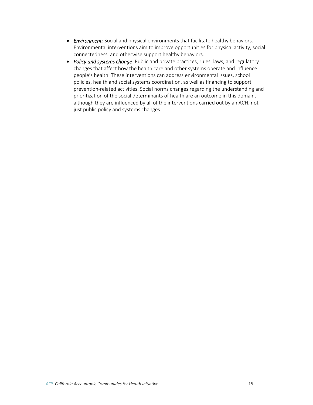- *Environment*: Social and physical environments that facilitate healthy behaviors. Environmental interventions aim to improve opportunities for physical activity, social connectedness, and otherwise support healthy behaviors.
- *Policy and systems change*: Public and private practices, rules, laws, and regulatory changes that affect how the health care and other systems operate and influence people's health. These interventions can address environmental issues, school policies, health and social systems coordination, as well as financing to support prevention-related activities. Social norms changes regarding the understanding and prioritization of the social determinants of health are an outcome in this domain, although they are influenced by all of the interventions carried out by an ACH, not just public policy and systems changes.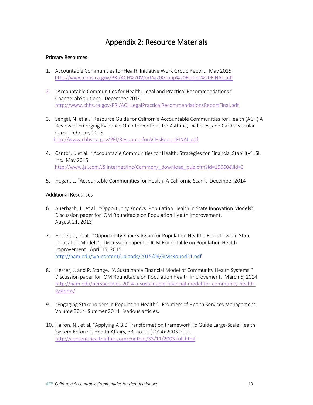# Appendix 2: Resource Materials

## Primary Resources

- 1. Accountable Communities for Health Initiative Work Group Report. May 2015 <http://www.chhs.ca.gov/PRI/ACH%20Work%20Group%20Report%20FINAL.pdf>
- 2. "Accountable Communities for Health: Legal and Practical Recommendations." ChangeLabSolutions. December 2014. <http://www.chhs.ca.gov/PRI/ACHLegalPracticalRecommendationsReportFinal.pdf>
- 3. Sehgal, N. et al. "Resource Guide for California Accountable Communities for Health (ACH) A Review of Emerging Evidence On Interventions for Asthma, Diabetes, and Cardiovascular Care" February 2015 <http://www.chhs.ca.gov/PRI/ResourcesforACHsReportFINAL.pdf>
- 4. Cantor, J. et al. "Accountable Communities for Health: Strategies for Financial Stability" JSI, Inc. May 2015 [http://www.jsi.com/JSIInternet/Inc/Common/\\_download\\_pub.cfm?id=15660&lid=3](http://www.jsi.com/JSIInternet/Inc/Common/_download_pub.cfm?id=15660&lid=3)
- 5. Hogan, L. "Accountable Communities for Health: A California Scan". December 2014

#### Additional Resources

- 6. Auerbach, J., et al. "Opportunity Knocks: Population Health in State Innovation Models". Discussion paper for IOM Roundtable on Population Health Improvement. August 21, 2013
- 7. Hester, J., et al. "Opportunity Knocks Again for Population Health: Round Two in State Innovation Models". Discussion paper for IOM Roundtable on Population Health Improvement. April 15, 2015 <http://nam.edu/wp-content/uploads/2015/06/SIMsRound21.pdf>
- 8. Hester, J. and P. Stange. "A Sustainable Financial Model of Community Health Systems." Discussion paper for IOM Roundtable on Population Health Improvement. March 6, 2014. [http://nam.edu/perspectives-2014-a-sustainable-financial-model-for-community-health](http://nam.edu/perspectives-2014-a-sustainable-financial-model-for-community-health-systems/)[systems/](http://nam.edu/perspectives-2014-a-sustainable-financial-model-for-community-health-systems/)
- 9. "Engaging Stakeholders in Population Health". Frontiers of Health Services Management. Volume 30: 4 Summer 2014. Various articles.
- 10. Halfon, N., et al. "Applying A 3.0 Transformation Framework To Guide Large-Scale Health System Reform". Health Affairs, 33, no.11 (2014):2003-2011 <http://content.healthaffairs.org/content/33/11/2003.full.html>